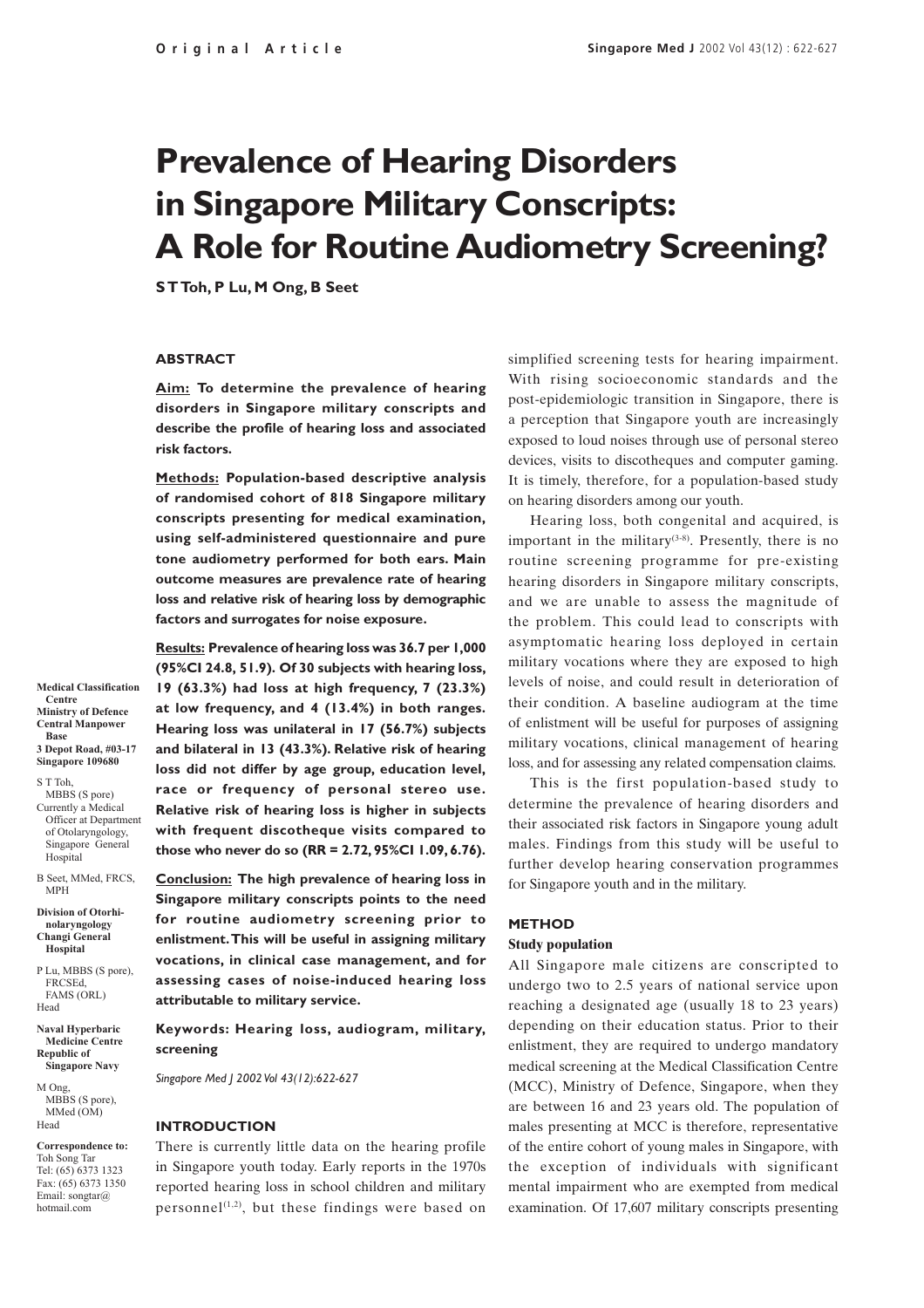# **Prevalence of Hearing Disorders in Singapore Military Conscripts: A Role for Routine Audiometry Screening?**

**S T Toh, P Lu, M Ong, B Seet**

#### **ABSTRACT**

**Aim: To determine the prevalence of hearing disorders in Singapore military conscripts and describe the profile of hearing loss and associated risk factors.**

**Methods: Population-based descriptive analysis of randomised cohort of 818 Singapore military conscripts presenting for medical examination, using self-administered questionnaire and pure tone audiometry performed for both ears. Main outcome measures are prevalence rate of hearing loss and relative risk of hearing loss by demographic factors and surrogates for noise exposure.**

**Results: Prevalence of hearing loss was 36.7 per 1,000 (95%CI 24.8, 51.9). Of 30 subjects with hearing loss, 19 (63.3%) had loss at high frequency, 7 (23.3%) at low frequency, and 4 (13.4%) in both ranges. Hearing loss was unilateral in 17 (56.7%) subjects and bilateral in 13 (43.3%). Relative risk of hearing loss did not differ by age group, education level, race or frequency of personal stereo use. Relative risk of hearing loss is higher in subjects with frequent discotheque visits compared to those who never do so (RR = 2.72, 95%CI 1.09, 6.76).**

**Conclusion: The high prevalence of hearing loss in Singapore military conscripts points to the need for routine audiometry screening prior to enlistment. This will be useful in assigning military vocations, in clinical case management, and for assessing cases of noise-induced hearing loss attributable to military service.**

**Keywords: Hearing loss, audiogram, military, screening**

*Singapore Med J 2002 Vol 43(12):622-627*

#### **INTRODUCTION**

There is currently little data on the hearing profile in Singapore youth today. Early reports in the 1970s reported hearing loss in school children and military personnel<sup> $(1,2)$ </sup>, but these findings were based on simplified screening tests for hearing impairment. With rising socioeconomic standards and the post-epidemiologic transition in Singapore, there is a perception that Singapore youth are increasingly exposed to loud noises through use of personal stereo devices, visits to discotheques and computer gaming. It is timely, therefore, for a population-based study on hearing disorders among our youth.

Hearing loss, both congenital and acquired, is important in the military<sup> $(3-8)$ </sup>. Presently, there is no routine screening programme for pre-existing hearing disorders in Singapore military conscripts, and we are unable to assess the magnitude of the problem. This could lead to conscripts with asymptomatic hearing loss deployed in certain military vocations where they are exposed to high levels of noise, and could result in deterioration of their condition. A baseline audiogram at the time of enlistment will be useful for purposes of assigning military vocations, clinical management of hearing loss, and for assessing any related compensation claims.

This is the first population-based study to determine the prevalence of hearing disorders and their associated risk factors in Singapore young adult males. Findings from this study will be useful to further develop hearing conservation programmes for Singapore youth and in the military.

#### **METHOD Study population**

All Singapore male citizens are conscripted to undergo two to 2.5 years of national service upon reaching a designated age (usually 18 to 23 years) depending on their education status. Prior to their enlistment, they are required to undergo mandatory medical screening at the Medical Classification Centre (MCC), Ministry of Defence, Singapore, when they are between 16 and 23 years old. The population of males presenting at MCC is therefore, representative of the entire cohort of young males in Singapore, with the exception of individuals with significant mental impairment who are exempted from medical examination. Of 17,607 military conscripts presenting

**Medical Classification Centre Ministry of Defence Central Manpower Base 3 Depot Road, #03-17**

**Singapore 109680** S T Toh,

MBBS (S pore) Currently a Medical Officer at Department of Otolaryngology, Singapore General Hospital

B Seet, MMed, FRCS MPH **Division of Otorhinolaryngology**

**Changi General Hospital**

P Lu, MBBS (S pore), FRCSEd, FAMS (ORL) Head

**Naval Hyperbaric Medicine Centre Republic of Singapore Navy**

M Ong, MBBS (S pore), MMed (OM) Head

**Correspondence to:** Toh Song Tar Tel: (65) 6373 1323 Fax: (65) 6373 1350 Email: songtar@ hotmail.com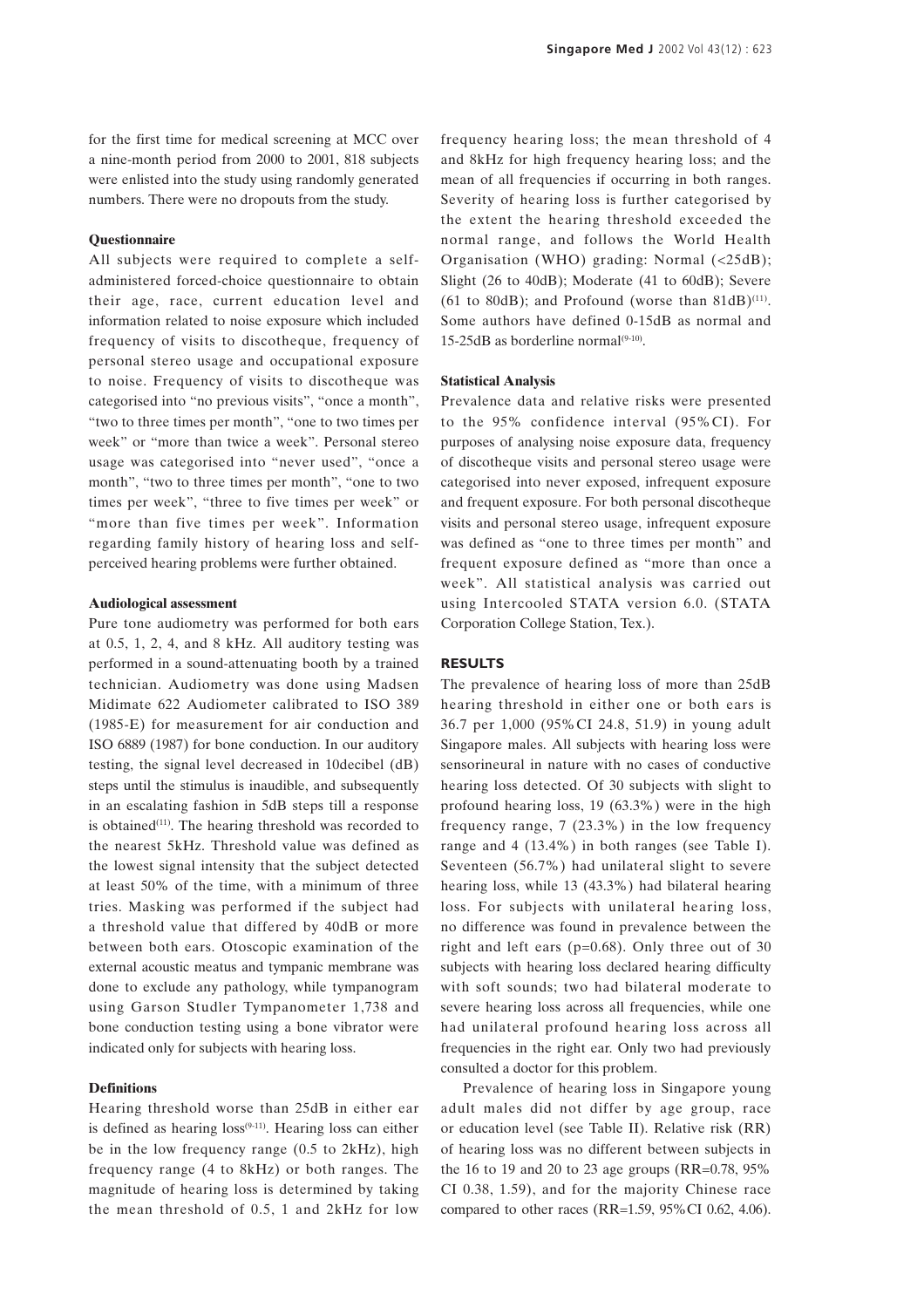for the first time for medical screening at MCC over a nine-month period from 2000 to 2001, 818 subjects were enlisted into the study using randomly generated numbers. There were no dropouts from the study.

#### **Questionnaire**

All subjects were required to complete a selfadministered forced-choice questionnaire to obtain their age, race, current education level and information related to noise exposure which included frequency of visits to discotheque, frequency of personal stereo usage and occupational exposure to noise. Frequency of visits to discotheque was categorised into "no previous visits", "once a month", "two to three times per month", "one to two times per week" or "more than twice a week". Personal stereo usage was categorised into "never used", "once a month", "two to three times per month", "one to two times per week", "three to five times per week" or "more than five times per week". Information regarding family history of hearing loss and selfperceived hearing problems were further obtained.

#### **Audiological assessment**

Pure tone audiometry was performed for both ears at 0.5, 1, 2, 4, and 8 kHz. All auditory testing was performed in a sound-attenuating booth by a trained technician. Audiometry was done using Madsen Midimate 622 Audiometer calibrated to ISO 389 (1985-E) for measurement for air conduction and ISO 6889 (1987) for bone conduction. In our auditory testing, the signal level decreased in 10decibel (dB) steps until the stimulus is inaudible, and subsequently in an escalating fashion in 5dB steps till a response is obtained $(11)$ . The hearing threshold was recorded to the nearest 5kHz. Threshold value was defined as the lowest signal intensity that the subject detected at least 50% of the time, with a minimum of three tries. Masking was performed if the subject had a threshold value that differed by 40dB or more between both ears. Otoscopic examination of the external acoustic meatus and tympanic membrane was done to exclude any pathology, while tympanogram using Garson Studler Tympanometer 1,738 and bone conduction testing using a bone vibrator were indicated only for subjects with hearing loss.

#### **Definitions**

Hearing threshold worse than 25dB in either ear is defined as hearing  $loss^{(9-11)}$ . Hearing loss can either be in the low frequency range (0.5 to 2kHz), high frequency range (4 to 8kHz) or both ranges. The magnitude of hearing loss is determined by taking the mean threshold of 0.5, 1 and 2kHz for low

frequency hearing loss; the mean threshold of 4 and 8kHz for high frequency hearing loss; and the mean of all frequencies if occurring in both ranges. Severity of hearing loss is further categorised by the extent the hearing threshold exceeded the normal range, and follows the World Health Organisation (WHO) grading: Normal (<25dB); Slight (26 to 40dB); Moderate (41 to 60dB); Severe (61 to 80dB); and Profound (worse than  $81dB$ )<sup>(11)</sup>. Some authors have defined 0-15dB as normal and 15-25dB as borderline normal $(9-10)$ .

#### **Statistical Analysis**

Prevalence data and relative risks were presented to the 95% confidence interval (95%CI). For purposes of analysing noise exposure data, frequency of discotheque visits and personal stereo usage were categorised into never exposed, infrequent exposure and frequent exposure. For both personal discotheque visits and personal stereo usage, infrequent exposure was defined as "one to three times per month" and frequent exposure defined as "more than once a week". All statistical analysis was carried out using Intercooled STATA version 6.0. (STATA Corporation College Station, Tex.).

#### **RESULTS**

The prevalence of hearing loss of more than 25dB hearing threshold in either one or both ears is 36.7 per 1,000 (95%CI 24.8, 51.9) in young adult Singapore males. All subjects with hearing loss were sensorineural in nature with no cases of conductive hearing loss detected. Of 30 subjects with slight to profound hearing loss, 19 (63.3%) were in the high frequency range, 7 (23.3%) in the low frequency range and 4 (13.4%) in both ranges (see Table I). Seventeen (56.7%) had unilateral slight to severe hearing loss, while 13 (43.3%) had bilateral hearing loss. For subjects with unilateral hearing loss, no difference was found in prevalence between the right and left ears ( $p=0.68$ ). Only three out of 30 subjects with hearing loss declared hearing difficulty with soft sounds; two had bilateral moderate to severe hearing loss across all frequencies, while one had unilateral profound hearing loss across all frequencies in the right ear. Only two had previously consulted a doctor for this problem.

Prevalence of hearing loss in Singapore young adult males did not differ by age group, race or education level (see Table II). Relative risk (RR) of hearing loss was no different between subjects in the 16 to 19 and 20 to 23 age groups  $(RR=0.78, 95\%)$ CI 0.38, 1.59), and for the majority Chinese race compared to other races (RR=1.59, 95%CI 0.62, 4.06).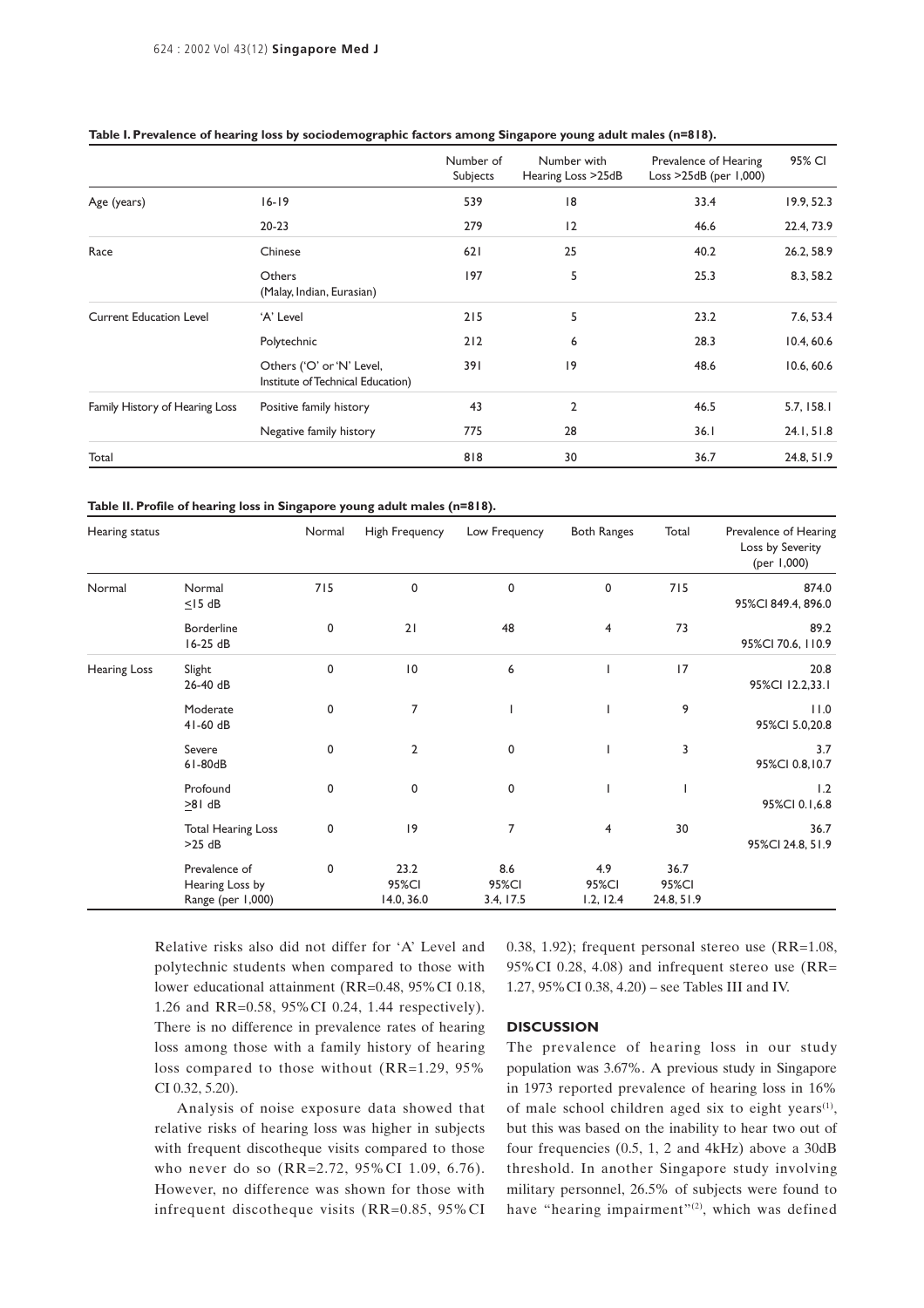|                                |                                                                | Number of<br>Subjects | Number with<br>Hearing Loss >25dB | Prevalence of Hearing<br>Loss $>25dB$ (per $1,000$ ) | 95% CI     |
|--------------------------------|----------------------------------------------------------------|-----------------------|-----------------------------------|------------------------------------------------------|------------|
| Age (years)                    | $16 - 19$                                                      | 539                   | 8                                 | 33.4                                                 | 19.9, 52.3 |
|                                | $20 - 23$                                                      | 279                   | 2                                 | 46.6                                                 | 22.4, 73.9 |
| Race                           | Chinese                                                        | 621                   | 25                                | 40.2                                                 | 26.2, 58.9 |
|                                | Others<br>(Malay, Indian, Eurasian)                            | 197                   | 5                                 | 25.3                                                 | 8.3, 58.2  |
| <b>Current Education Level</b> | 'A' Level                                                      | 215                   | 5                                 | 23.2                                                 | 7.6, 53.4  |
|                                | Polytechnic                                                    | 212                   | 6                                 | 28.3                                                 | 10.4, 60.6 |
|                                | Others ('O' or 'N' Level,<br>Institute of Technical Education) | 391                   | 9                                 | 48.6                                                 | 10.6, 60.6 |
| Family History of Hearing Loss | Positive family history                                        | 43                    | $\overline{2}$                    | 46.5                                                 | 5.7, 158.1 |
|                                | Negative family history                                        | 775                   | 28                                | 36.1                                                 | 24.1, 51.8 |
| Total                          |                                                                | 818                   | 30                                | 36.7                                                 | 24.8, 51.9 |

#### **Table I. Prevalence of hearing loss by sociodemographic factors among Singapore young adult males (n=818).**

#### **Table II. Profile of hearing loss in Singapore young adult males (n=818).**

| Hearing status |                                                       | Normal | High Frequency              | Low Frequency             | <b>Both Ranges</b>        | Total                       | Prevalence of Hearing<br>Loss by Severity<br>(per 1,000) |  |
|----------------|-------------------------------------------------------|--------|-----------------------------|---------------------------|---------------------------|-----------------------------|----------------------------------------------------------|--|
| Normal         | Normal<br>$\leq$ 15 dB                                | 715    | 0                           | 0                         | 0                         | 715                         | 874.0<br>95%CI 849.4, 896.0                              |  |
|                | <b>Borderline</b><br>16-25 dB                         | 0      | 21                          | 48                        | $\overline{4}$            | 73                          | 89.2<br>95%CI 70.6, 110.9                                |  |
| Hearing Loss   | Slight<br>26-40 dB                                    | 0      | 10                          | 6                         |                           | 17                          | 20.8<br>95%Cl 12.2,33.1                                  |  |
|                | Moderate<br>$41-60$ dB                                | 0      | $\overline{7}$              |                           |                           | 9                           | 11.0<br>95%CI 5.0,20.8                                   |  |
|                | Severe<br>61-80dB                                     | 0      | $\overline{2}$              | 0                         |                           | 3                           | 3.7<br>95%CI 0.8,10.7                                    |  |
|                | Profound<br>$>81$ dB                                  | 0      | 0                           | 0                         |                           |                             | 1.2<br>95%CI 0.1,6.8                                     |  |
|                | <b>Total Hearing Loss</b><br>$>25$ dB                 | 0      | 9                           | $\overline{7}$            | 4                         | 30                          | 36.7<br>95%Cl 24.8, 51.9                                 |  |
|                | Prevalence of<br>Hearing Loss by<br>Range (per 1,000) | 0      | 23.2<br>95%CI<br>14.0, 36.0 | 8.6<br>95%CI<br>3.4, 17.5 | 4.9<br>95%CI<br>1.2, 12.4 | 36.7<br>95%CI<br>24.8, 51.9 |                                                          |  |

Relative risks also did not differ for 'A' Level and polytechnic students when compared to those with lower educational attainment (RR=0.48, 95%CI 0.18, 1.26 and RR=0.58, 95%CI 0.24, 1.44 respectively). There is no difference in prevalence rates of hearing loss among those with a family history of hearing loss compared to those without (RR=1.29, 95% CI 0.32, 5.20).

Analysis of noise exposure data showed that relative risks of hearing loss was higher in subjects with frequent discotheque visits compared to those who never do so (RR=2.72, 95%CI 1.09, 6.76). However, no difference was shown for those with infrequent discotheque visits (RR=0.85, 95%CI 0.38, 1.92); frequent personal stereo use (RR=1.08, 95%CI 0.28, 4.08) and infrequent stereo use (RR= 1.27, 95%CI 0.38, 4.20) – see Tables III and IV.

#### **DISCUSSION**

The prevalence of hearing loss in our study population was 3.67%. A previous study in Singapore in 1973 reported prevalence of hearing loss in 16% of male school children aged six to eight years<sup> $(1)$ </sup>, but this was based on the inability to hear two out of four frequencies (0.5, 1, 2 and 4kHz) above a 30dB threshold. In another Singapore study involving military personnel, 26.5% of subjects were found to have "hearing impairment"<sup>(2)</sup>, which was defined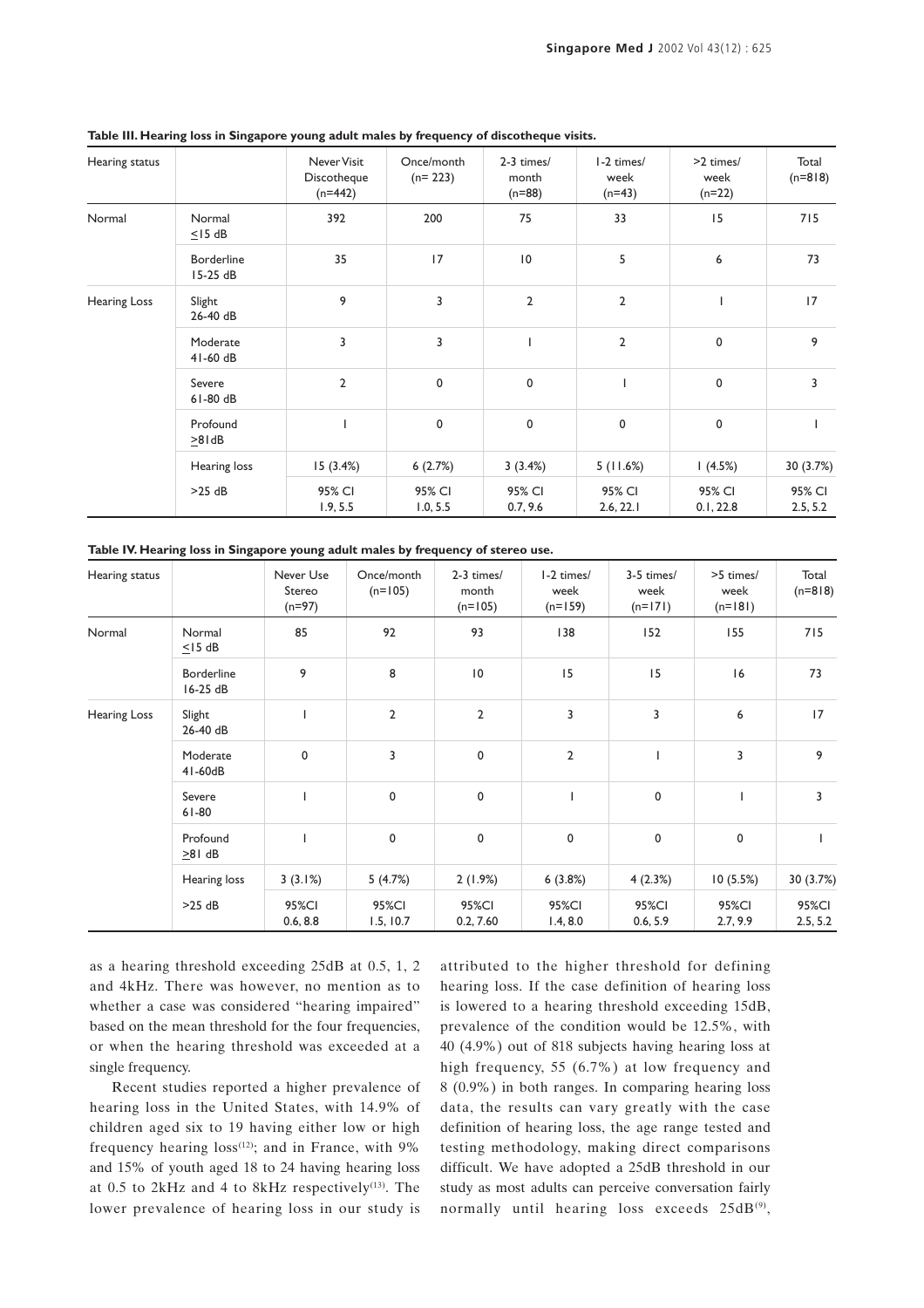| Hearing status |                        | Never Visit<br>Discotheque<br>$(n=442)$ | Once/month<br>$(n=223)$ | 2-3 times/<br>month<br>$(n=88)$ | I-2 times/<br>week<br>$(n=43)$ | >2 times/<br>week<br>$(n=22)$ | Total<br>$(n=818)$ |
|----------------|------------------------|-----------------------------------------|-------------------------|---------------------------------|--------------------------------|-------------------------------|--------------------|
| Normal         | Normal<br>$\leq$ 15 dB | 392                                     | 200                     | 75                              | 33                             | 15                            | 715                |
|                | Borderline<br>15-25 dB | 35                                      | 17                      | $\overline{10}$                 | 5                              | 6                             | 73                 |
| Hearing Loss   | Slight<br>26-40 dB     | 9                                       | 3                       | $\overline{2}$                  | $\overline{2}$                 |                               | 17                 |
|                | Moderate<br>$41-60$ dB | 3                                       | 3                       |                                 | $\overline{2}$                 | 0                             | 9                  |
|                | Severe<br>$61-80$ dB   | $\overline{2}$                          | $\mathbf 0$             | 0                               |                                | 0                             | $\overline{3}$     |
|                | Profound<br>>81dB      |                                         | $\mathbf 0$             | $\pmb{0}$                       | 0                              | 0                             |                    |
|                | Hearing loss           | 15(3.4%)                                | 6(2.7%)                 | 3(3.4%)                         | 5(11.6%)                       | (4.5%)                        | 30 (3.7%)          |
|                | >25 dB                 | 95% CI<br>1.9, 5.5                      | 95% CI<br>1.0, 5.5      | 95% CI<br>0.7, 9.6              | 95% CI<br>2.6, 22.1            | 95% CI<br>0.1, 22.8           | 95% CI<br>2.5, 5.2 |

**Table III. Hearing loss in Singapore young adult males by frequency of discotheque visits.**

**Table IV. Hearing loss in Singapore young adult males by frequency of stereo use.**

| Hearing status      |                               | Never Use<br>Stereo<br>$(n=97)$ | Once/month<br>$(n=105)$ | 2-3 times/<br>month<br>$(n=105)$ | I-2 times/<br>week<br>$(n=159)$ | 3-5 times/<br>week<br>$(n=171)$ | >5 times/<br>week<br>$(n=181)$ | Total<br>$(n=818)$ |
|---------------------|-------------------------------|---------------------------------|-------------------------|----------------------------------|---------------------------------|---------------------------------|--------------------------------|--------------------|
| Normal              | Normal<br>$\leq$ 15 dB        | 85                              | 92                      | 93                               | 138                             | 152                             | 155                            | 715                |
|                     | <b>Borderline</b><br>16-25 dB | 9                               | 8                       | $\overline{10}$                  | 15                              | 15                              | 16                             | 73                 |
| <b>Hearing Loss</b> | Slight<br>26-40 dB            |                                 | $\overline{2}$          | $\overline{2}$                   | 3                               | 3                               | 6                              | 17                 |
|                     | Moderate<br>41-60dB           | 0                               | 3                       | 0                                | $\mathbf{2}$                    |                                 | 3                              | 9                  |
|                     | Severe<br>$61 - 80$           |                                 | $\pmb{0}$               | 0                                | $\overline{\phantom{a}}$        | $\mathbf 0$                     |                                | 3                  |
|                     | Profound<br>>81 dB            |                                 | $\pmb{0}$               | 0                                | 0                               | $\mathbf 0$                     | $\mathbf 0$                    |                    |
|                     | Hearing loss                  | 3(3.1%)                         | 5(4.7%)                 | 2(1.9%)                          | 6(3.8%)                         | 4(2.3%)                         | 10(5.5%)                       | 30 (3.7%)          |
|                     | $>25$ dB                      | 95%CI<br>0.6, 8.8               | 95%CI<br>1.5, 10.7      | 95%CI<br>0.2, 7.60               | 95%CI<br>1.4, 8.0               | 95%CI<br>0.6, 5.9               | 95%CI<br>2.7, 9.9              | 95%CI<br>2.5, 5.2  |

as a hearing threshold exceeding 25dB at 0.5, 1, 2 and 4kHz. There was however, no mention as to whether a case was considered "hearing impaired" based on the mean threshold for the four frequencies, or when the hearing threshold was exceeded at a single frequency.

Recent studies reported a higher prevalence of hearing loss in the United States, with 14.9% of children aged six to 19 having either low or high frequency hearing  $loss^{(12)}$ ; and in France, with 9% and 15% of youth aged 18 to 24 having hearing loss at  $0.5$  to  $2kHz$  and  $4$  to  $8kHz$  respectively<sup>(13)</sup>. The lower prevalence of hearing loss in our study is

attributed to the higher threshold for defining hearing loss. If the case definition of hearing loss is lowered to a hearing threshold exceeding 15dB, prevalence of the condition would be 12.5%, with 40 (4.9%) out of 818 subjects having hearing loss at high frequency, 55 (6.7%) at low frequency and 8 (0.9%) in both ranges. In comparing hearing loss data, the results can vary greatly with the case definition of hearing loss, the age range tested and testing methodology, making direct comparisons difficult. We have adopted a 25dB threshold in our study as most adults can perceive conversation fairly normally until hearing loss exceeds 25dB(9),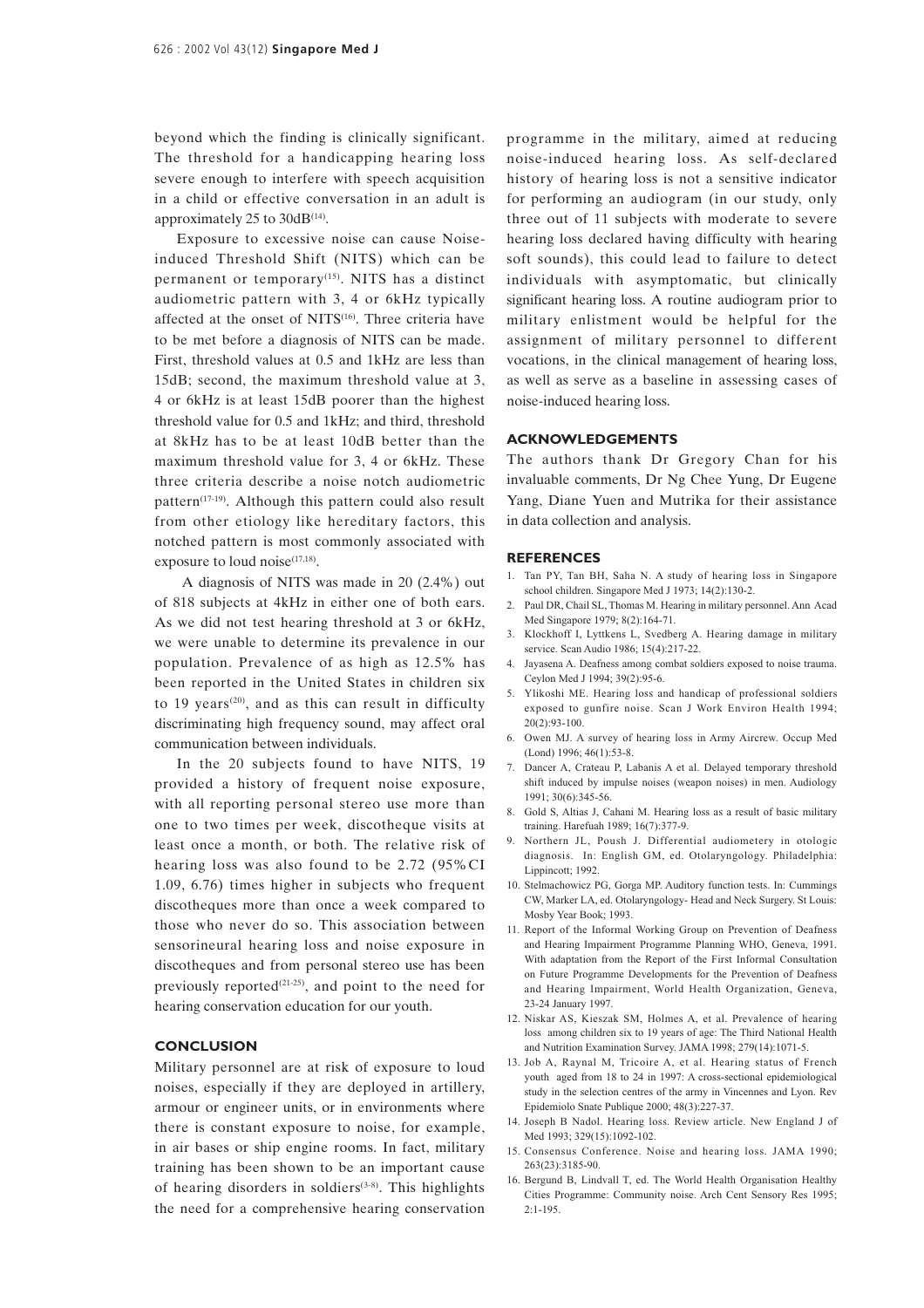beyond which the finding is clinically significant. The threshold for a handicapping hearing loss severe enough to interfere with speech acquisition in a child or effective conversation in an adult is approximately 25 to  $30dB^{(14)}$ .

Exposure to excessive noise can cause Noiseinduced Threshold Shift (NITS) which can be permanent or temporary(15). NITS has a distinct audiometric pattern with 3, 4 or 6kHz typically affected at the onset of NITS<sup>(16)</sup>. Three criteria have to be met before a diagnosis of NITS can be made. First, threshold values at 0.5 and 1kHz are less than 15dB; second, the maximum threshold value at 3, 4 or 6kHz is at least 15dB poorer than the highest threshold value for 0.5 and 1kHz; and third, threshold at 8kHz has to be at least 10dB better than the maximum threshold value for 3, 4 or 6kHz. These three criteria describe a noise notch audiometric pattern<sup>(17-19)</sup>. Although this pattern could also result from other etiology like hereditary factors, this notched pattern is most commonly associated with exposure to loud noise<sup>(17,18)</sup>.

 A diagnosis of NITS was made in 20 (2.4%) out of 818 subjects at 4kHz in either one of both ears. As we did not test hearing threshold at 3 or 6kHz, we were unable to determine its prevalence in our population. Prevalence of as high as 12.5% has been reported in the United States in children six to 19 years<sup>(20)</sup>, and as this can result in difficulty discriminating high frequency sound, may affect oral communication between individuals.

In the 20 subjects found to have NITS, 19 provided a history of frequent noise exposure, with all reporting personal stereo use more than one to two times per week, discotheque visits at least once a month, or both. The relative risk of hearing loss was also found to be 2.72 (95%CI 1.09, 6.76) times higher in subjects who frequent discotheques more than once a week compared to those who never do so. This association between sensorineural hearing loss and noise exposure in discotheques and from personal stereo use has been previously reported<sup>(21-25)</sup>, and point to the need for hearing conservation education for our youth.

#### **CONCLUSION**

Military personnel are at risk of exposure to loud noises, especially if they are deployed in artillery, armour or engineer units, or in environments where there is constant exposure to noise, for example, in air bases or ship engine rooms. In fact, military training has been shown to be an important cause of hearing disorders in soldiers<sup> $(3-8)$ </sup>. This highlights the need for a comprehensive hearing conservation

programme in the military, aimed at reducing noise-induced hearing loss. As self-declared history of hearing loss is not a sensitive indicator for performing an audiogram (in our study, only three out of 11 subjects with moderate to severe hearing loss declared having difficulty with hearing soft sounds), this could lead to failure to detect individuals with asymptomatic, but clinically significant hearing loss. A routine audiogram prior to military enlistment would be helpful for the assignment of military personnel to different vocations, in the clinical management of hearing loss, as well as serve as a baseline in assessing cases of noise-induced hearing loss.

#### **ACKNOWLEDGEMENTS**

The authors thank Dr Gregory Chan for his invaluable comments, Dr Ng Chee Yung, Dr Eugene Yang, Diane Yuen and Mutrika for their assistance in data collection and analysis.

#### **REFERENCES**

- 1. Tan PY, Tan BH, Saha N. A study of hearing loss in Singapore school children. Singapore Med J 1973; 14(2):130-2.
- 2. Paul DR, Chail SL, Thomas M. Hearing in military personnel. Ann Acad Med Singapore 1979; 8(2):164-71.
- 3. Klockhoff I, Lyttkens L, Svedberg A. Hearing damage in military service. Scan Audio 1986; 15(4):217-22.
- 4. Jayasena A. Deafness among combat soldiers exposed to noise trauma. Ceylon Med J 1994; 39(2):95-6.
- 5. Ylikoshi ME. Hearing loss and handicap of professional soldiers exposed to gunfire noise. Scan J Work Environ Health 1994; 20(2):93-100.
- 6. Owen MJ. A survey of hearing loss in Army Aircrew. Occup Med (Lond) 1996; 46(1):53-8.
- 7. Dancer A, Crateau P, Labanis A et al. Delayed temporary threshold shift induced by impulse noises (weapon noises) in men. Audiology 1991; 30(6):345-56.
- 8. Gold S, Altias J, Cahani M. Hearing loss as a result of basic military training. Harefuah 1989; 16(7):377-9.
- 9. Northern JL, Poush J. Differential audiometery in otologic diagnosis. In: English GM, ed. Otolaryngology. Philadelphia: Lippincott; 1992.
- 10. Stelmachowicz PG, Gorga MP. Auditory function tests. In: Cummings CW, Marker LA, ed. Otolaryngology- Head and Neck Surgery. St Louis: Mosby Year Book; 1993.
- 11. Report of the Informal Working Group on Prevention of Deafness and Hearing Impairment Programme Planning WHO, Geneva, 1991. With adaptation from the Report of the First Informal Consultation on Future Programme Developments for the Prevention of Deafness and Hearing Impairment, World Health Organization, Geneva, 23-24 January 1997.
- 12. Niskar AS, Kieszak SM, Holmes A, et al. Prevalence of hearing loss among children six to 19 years of age: The Third National Health and Nutrition Examination Survey. JAMA 1998; 279(14):1071-5.
- 13. Job A, Raynal M, Tricoire A, et al. Hearing status of French youth aged from 18 to 24 in 1997: A cross-sectional epidemiological study in the selection centres of the army in Vincennes and Lyon. Rev Epidemiolo Snate Publique 2000; 48(3):227-37.
- 14. Joseph B Nadol. Hearing loss. Review article. New England J of Med 1993; 329(15):1092-102.
- 15. Consensus Conference. Noise and hearing loss. JAMA 1990; 263(23):3185-90.
- 16. Bergund B, Lindvall T, ed. The World Health Organisation Healthy Cities Programme: Community noise. Arch Cent Sensory Res 1995;  $2:1 - 195$ .